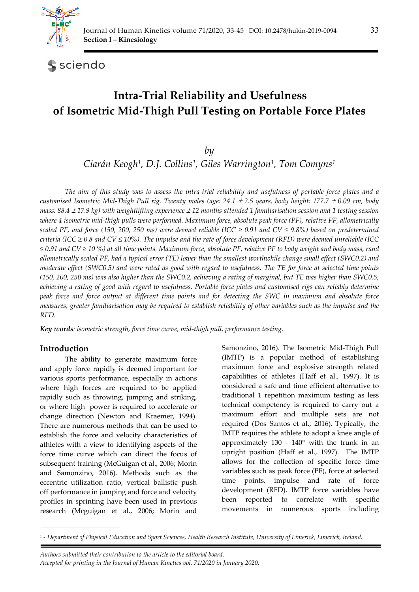

sciendo

# **Intra-Trial Reliability and Usefulness of Isometric Mid-Thigh Pull Testing on Portable Force Plates**

*by* 

*Ciarán Keogh1, D.J. Collins1, Giles Warrington1, Tom Comyns1*

*The aim of this study was to assess the intra-trial reliability and usefulness of portable force plates and a customised Isometric Mid-Thigh Pull rig. Twenty males (age: 24.1* ± *2.5 years, body height: 177.7* ± *0.09 cm, body mass: 88.4* ± *17.9 kg) with weightlifting experience* ± *12 months attended 1 familiarisation session and 1 testing session where 4 isometric mid-thigh pulls were performed. Maximum force, absolute peak force (PF), relative PF, allometrically scaled PF, and force (150, 200, 250 ms) were deemed reliable (ICC*  $\geq$  *0.91 and CV*  $\leq$  *9.8%) based on predetermined criteria (ICC ≥ 0.8 and CV ≤ 10%). The impulse and the rate of force development (RFD) were deemed unreliable (ICC ≤ 0.91 and CV ≥ 10 %) at all time points. Maximum force, absolute PF, relative PF to body weight and body mass, rand allometrically scaled PF, had a typical error (TE) lower than the smallest worthwhile change small effect (SWC0.2) and moderate effect (SWC0.5) and were rated as good with regard to usefulness. The TE for force at selected time points (150, 200, 250 ms) was also higher than the SWC0.2, achieving a rating of marginal, but TE was higher than SWC0.5, achieving a rating of good with regard to usefulness. Portable force plates and customised rigs can reliably determine peak force and force output at different time points and for detecting the SWC in maximum and absolute force measures, greater familiarisation may be required to establish reliability of other variables such as the impulse and the RFD.* 

*Key words: isometric strength, force time curve, mid-thigh pull, performance testing.* 

# **Introduction**

The ability to generate maximum force and apply force rapidly is deemed important for various sports performance, especially in actions where high forces are required to be applied rapidly such as throwing, jumping and striking, or where high power is required to accelerate or change direction (Newton and Kraemer, 1994). There are numerous methods that can be used to establish the force and velocity characteristics of athletes with a view to identifying aspects of the force time curve which can direct the focus of subsequent training (McGuigan et al., 2006; Morin and Samonzino, 2016). Methods such as the eccentric utilization ratio, vertical ballistic push off performance in jumping and force and velocity profiles in sprinting have been used in previous research (Mcguigan et al., 2006; Morin and

Samonzino, 2016). The Isometric Mid-Thigh Pull (IMTP) is a popular method of establishing maximum force and explosive strength related capabilities of athletes (Haff et al., 1997). It is considered a safe and time efficient alternative to traditional 1 repetition maximum testing as less technical competency is required to carry out a maximum effort and multiple sets are not required (Dos Santos et al., 2016). Typically, the IMTP requires the athlete to adopt a knee angle of approximately 130 - 140° with the trunk in an upright position (Haff et al., 1997). The IMTP allows for the collection of specific force time variables such as peak force (PF), force at selected time points, impulse and rate of force development (RFD). IMTP force variables have been reported to correlate with specific movements in numerous sports including

*Authors submitted their contribution to the article to the editorial board. Accepted for printing in the Journal of Human Kinetics vol. 71/2020 in January 2020.* 

<sup>1 -</sup> *Department of Physical Education and Sport Sciences, Health Research Institute, University of Limerick, Limerick, Ireland.*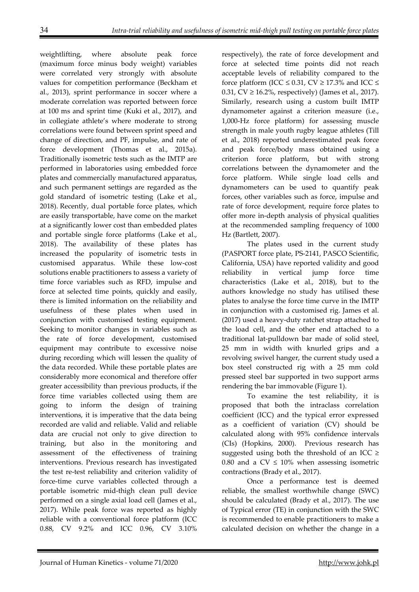weightlifting, where absolute peak force (maximum force minus body weight) variables were correlated very strongly with absolute values for competition performance (Beckham et al., 2013), sprint performance in soccer where a moderate correlation was reported between force at 100 ms and sprint time (Kuki et al., 2017), and in collegiate athlete's where moderate to strong correlations were found between sprint speed and change of direction, and PF, impulse, and rate of force development (Thomas et al., 2015a). Traditionally isometric tests such as the IMTP are performed in laboratories using embedded force plates and commercially manufactured apparatus, and such permanent settings are regarded as the gold standard of isometric testing (Lake et al., 2018). Recently, dual portable force plates, which are easily transportable, have come on the market at a significantly lower cost than embedded plates and portable single force platforms (Lake et al., 2018). The availability of these plates has increased the popularity of isometric tests in customised apparatus. While these low-cost solutions enable practitioners to assess a variety of time force variables such as RFD, impulse and force at selected time points, quickly and easily, there is limited information on the reliability and usefulness of these plates when used in conjunction with customised testing equipment. Seeking to monitor changes in variables such as the rate of force development, customised equipment may contribute to excessive noise during recording which will lessen the quality of the data recorded. While these portable plates are considerably more economical and therefore offer greater accessibility than previous products, if the force time variables collected using them are going to inform the design of training interventions, it is imperative that the data being recorded are valid and reliable. Valid and reliable data are crucial not only to give direction to training, but also in the monitoring and assessment of the effectiveness of training interventions. Previous research has investigated the test re-test reliability and criterion validity of force-time curve variables collected through a portable isometric mid-thigh clean pull device performed on a single axial load cell (James et al., 2017). While peak force was reported as highly reliable with a conventional force platform (ICC 0.88, CV 9.2% and ICC 0.96, CV 3.10%

respectively), the rate of force development and force at selected time points did not reach acceptable levels of reliability compared to the force platform (ICC  $\leq$  0.31, CV  $\geq$  17.3% and ICC  $\leq$ 0.31,  $CV \ge 16.2\%$ , respectively) (James et al., 2017). Similarly, research using a custom built IMTP dynamometer against a criterion measure (i.e., 1,000-Hz force platform) for assessing muscle strength in male youth rugby league athletes (Till et al., 2018) reported underestimated peak force and peak force/body mass obtained using a criterion force platform, but with strong correlations between the dynamometer and the force platform. While single load cells and dynamometers can be used to quantify peak forces, other variables such as force, impulse and rate of force development, require force plates to offer more in-depth analysis of physical qualities at the recommended sampling frequency of 1000 Hz (Bartlett, 2007).

The plates used in the current study (PASPORT force plate, PS-2141, PASCO Scientific, California, USA) have reported validity and good reliability in vertical jump force time characteristics (Lake et al., 2018), but to the authors knowledge no study has utilised these plates to analyse the force time curve in the IMTP in conjunction with a customised rig. James et al. (2017) used a heavy-duty ratchet strap attached to the load cell, and the other end attached to a traditional lat-pulldown bar made of solid steel, 25 mm in width with knurled grips and a revolving swivel hanger, the current study used a box steel constructed rig with a 25 mm cold pressed steel bar supported in two support arms rendering the bar immovable (Figure 1).

To examine the test reliability, it is proposed that both the intraclass correlation coefficient (ICC) and the typical error expressed as a coefficient of variation (CV) should be calculated along with 95% confidence intervals (CIs) (Hopkins, 2000). Previous research has suggested using both the threshold of an ICC  $\geq$ 0.80 and a  $CV \leq 10\%$  when assessing isometric contractions (Brady et al., 2017).

Once a performance test is deemed reliable, the smallest worthwhile change (SWC) should be calculated (Brady et al., 2017). The use of Typical error (TE) in conjunction with the SWC is recommended to enable practitioners to make a calculated decision on whether the change in a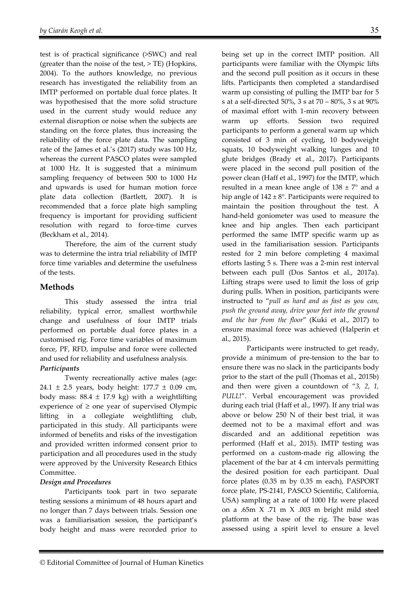test is of practical significance (>SWC) and real (greater than the noise of the test, > TE) (Hopkins, 2004). To the authors knowledge, no previous research has investigated the reliability from an IMTP performed on portable dual force plates. It was hypothesised that the more solid structure used in the current study would reduce any external disruption or noise when the subjects are standing on the force plates, thus increasing the reliability of the force plate data. The sampling rate of the James et al.'s (2017) study was 100 Hz, whereas the current PASCO plates were sampled at 1000 Hz. It is suggested that a minimum sampling frequency of between 500 to 1000 Hz and upwards is used for human motion force plate data collection (Bartlett, 2007). It is recommended that a force plate high sampling frequency is important for providing sufficient resolution with regard to force-time curves (Beckham et al., 2014).

Therefore, the aim of the current study was to determine the intra trial reliability of IMTP force time variables and determine the usefulness of the tests.

# **Methods**

This study assessed the intra trial reliability, typical error, smallest worthwhile change and usefulness of four IMTP trials performed on portable dual force plates in a customised rig. Force time variables of maximum force, PF, RFD, impulse and force were collected and used for reliability and usefulness analysis. *Participants* 

Twenty recreationally active males (age: 24.1 ± 2.5 years, body height: 177.7 ± 0.09 cm, body mass:  $88.4 \pm 17.9$  kg) with a weightlifting experience of  $\geq$  one year of supervised Olympic lifting in a collegiate weightlifting club, participated in this study. All participants were informed of benefits and risks of the investigation and provided written informed consent prior to participation and all procedures used in the study were approved by the University Research Ethics Committee.

# *Design and Procedures*

Participants took part in two separate testing sessions a minimum of 48 hours apart and no longer than 7 days between trials. Session one was a familiarisation session, the participant's body height and mass were recorded prior to

being set up in the correct IMTP position. All participants were familiar with the Olympic lifts and the second pull position as it occurs in these lifts. Participants then completed a standardised warm up consisting of pulling the IMTP bar for 5 s at a self-directed 50%, 3 s at 70 – 80%, 3 s at 90% of maximal effort with 1-min recovery between warm up efforts. Session two required participants to perform a general warm up which consisted of 3 min of cycling, 10 bodyweight squats, 10 bodyweight walking lunges and 10 glute bridges (Brady et al., 2017). Participants were placed in the second pull position of the power clean (Haff et al., 1997) for the IMTP, which resulted in a mean knee angle of  $138 \pm 7^{\circ}$  and a hip angle of  $142 \pm 8^\circ$ . Participants were required to maintain the position throughout the test. A hand-held goniometer was used to measure the knee and hip angles. Then each participant performed the same IMTP specific warm up as used in the familiarisation session. Participants rested for 2 min before completing 4 maximal efforts lasting 5 s. There was a 2-min rest interval between each pull (Dos Santos et al., 2017a). Lifting straps were used to limit the loss of grip during pulls. When in position, participants were instructed to "*pull as hard and as fast as you can, push the ground away, drive your feet into the ground and the bar from the floor*" (Kuki et al., 2017) to ensure maximal force was achieved (Halperin et al., 2015).

Participants were instructed to get ready, provide a minimum of pre-tension to the bar to ensure there was no slack in the participants body prior to the start of the pull (Thomas et al., 2015b) and then were given a countdown of "*3, 2, 1, PULL*!". Verbal encouragement was provided during each trial (Haff et al., 1997). If any trial was above or below 250 N of their best trial, it was deemed not to be a maximal effort and was discarded and an additional repetition was performed (Haff et al., 2015). IMTP testing was performed on a custom-made rig allowing the placement of the bar at 4 cm intervals permitting the desired position for each participant. Dual force plates (0.35 m by 0.35 m each), PASPORT force plate, PS-2141, PASCO Scientific, California, USA) sampling at a rate of 1000 Hz were placed on a .65m X .71 m X .003 m bright mild steel platform at the base of the rig. The base was assessed using a spirit level to ensure a level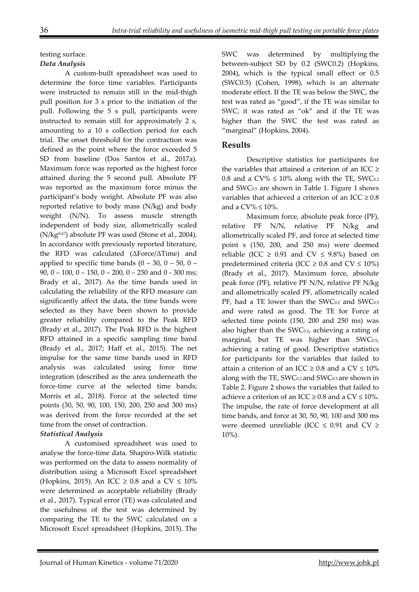#### testing surface. *Data Analysis*

A custom-built spreadsheet was used to determine the force time variables. Participants were instructed to remain still in the mid-thigh pull position for 3 s prior to the initiation of the pull. Following the 5 s pull, participants were instructed to remain still for approximately 2 s, amounting to a 10 s collection period for each trial. The onset threshold for the contraction was defined as the point where the force exceeded 5 SD from baseline (Dos Santos et al., 2017a). Maximum force was reported as the highest force attained during the 5 second pull. Absolute PF was reported as the maximum force minus the participant's body weight. Absolute PF was also reported relative to body mass (N/kg) and body weight (N/N). To assess muscle strength independent of body size, allometrically scaled  $(N/kg<sup>0.67</sup>)$  absolute PF was used (Stone et al., 2004). In accordance with previously reported literature, the RFD was calculated (ΔForce/ΔTime) and applied to specific time bands  $(0 - 30, 0 - 50, 0 -$ 90, 0 – 100, 0 – 150, 0 – 200, 0 – 250 and 0 - 300 ms; Brady et al., 2017). As the time bands used in calculating the reliability of the RFD measure can significantly affect the data, the time bands were selected as they have been shown to provide greater reliability compared to the Peak RFD (Brady et al., 2017). The Peak RFD is the highest RFD attained in a specific sampling time band (Brady et al., 2017; Haff et al., 2015). The net impulse for the same time bands used in RFD analysis was calculated using force time integration (described as the area underneath the force-time curve at the selected time bands; Morris et al., 2018). Force at the selected time points (30, 50, 90, 100, 150, 200, 250 and 300 ms) was derived from the force recorded at the set time from the onset of contraction.

# *Statistical Analysis*

A customised spreadsheet was used to analyse the force-time data. Shapiro-Wilk statistic was performed on the data to assess normality of distribution using a Microsoft Excel spreadsheet (Hopkins, 2015). An ICC  $\geq$  0.8 and a CV  $\leq$  10% were determined as acceptable reliability (Brady et al., 2017). Typical error (TE) was calculated and the usefulness of the test was determined by comparing the TE to the SWC calculated on a Microsoft Excel spreadsheet (Hopkins, 2015). The

SWC was determined by multiplying the between-subject SD by 0.2 (SWC0.2) (Hopkins, 2004), which is the typical small effect or 0.5 (SWC0.5) (Cohen, 1998), which is an alternate moderate effect. If the TE was below the SWC, the test was rated as "good", if the TE was similar to SWC, it was rated as "ok" and if the TE was higher than the SWC the test was rated as "marginal" (Hopkins, 2004).

### **Results**

Descriptive statistics for participants for the variables that attained a criterion of an ICC  $\geq$ 0.8 and a CV%  $\leq$  10% along with the TE, SWC<sub>0.2</sub> and SWC0.5 are shown in Table 1. Figure 1 shows variables that achieved a criterion of an ICC  $\geq 0.8$ and a CV%  $\leq 10\%$ .

Maximum force, absolute peak force (PF), relative PF N/N, relative PF N/kg and allometrically scaled PF, and force at selected time point s (150, 200, and 250 ms) were deemed reliable (ICC  $\geq$  0.91 and CV  $\leq$  9.8%) based on predetermined criteria (ICC  $\geq$  0.8 and CV  $\leq$  10%) (Brady et al., 2017). Maximum force, absolute peak force (PF), relative PF N/N, relative PF N/kg and allometrically scaled PF, allometrically scaled PF, had a TE lower than the SWC<sub>0.2</sub> and SWC<sub>0.5</sub> and were rated as good. The TE for Force at selected time points (150, 200 and 250 ms) was also higher than the SWC0.2, achieving a rating of marginal, but TE was higher than SWC0.5, achieving a rating of good. Descriptive statistics for participants for the variables that failed to attain a criterion of an ICC  $\geq$  0.8 and a CV  $\leq$  10% along with the TE, SWC<sub>0.2</sub> and SWC<sub>0.5</sub> are shown in Table 2. Figure 2 shows the variables that failed to achieve a criterion of an ICC  $\geq$  0.8 and a CV  $\leq$  10%. The impulse, the rate of force development at all time bands, and force at 30, 50, 90, 100 and 300 ms were deemed unreliable (ICC  $\leq$  0.91 and CV  $\geq$ 10%).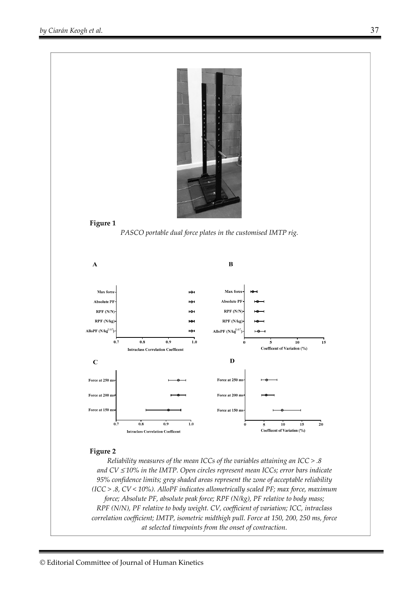



*PASCO portable dual force plates in the customised IMTP rig.* 



#### **Figure 2**

*Reliability measures of the mean ICCs of the variables attaining an ICC > .8 and CV* ≤ *10% in the IMTP. Open circles represent mean ICCs; error bars indicate 95% confidence limits; grey shaded areas represent the zone of acceptable reliability (ICC > .8, CV < 10%). AlloPF indicates allometrically scaled PF; max force, maximum force; Absolute PF, absolute peak force; RPF (N/kg), PF relative to body mass; RPF (N/N), PF relative to body weight. CV, coefficient of variation; ICC, intraclass correlation coefficient; IMTP, isometric midthigh pull. Force at 150, 200, 250 ms, force at selected timepoints from the onset of contraction.*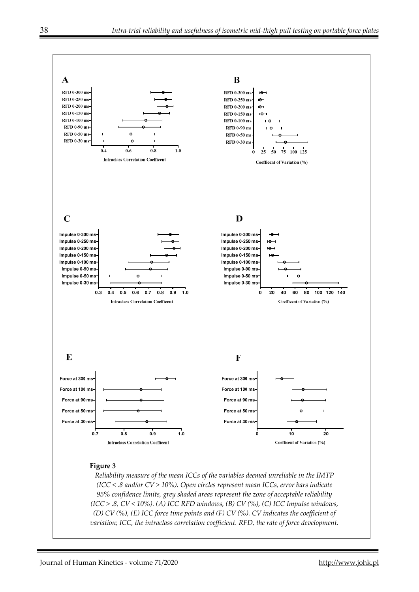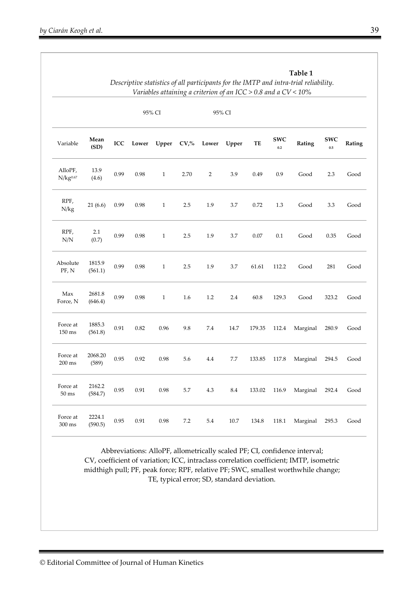|                                 |                   | Table 1<br>Descriptive statistics of all participants for the IMTP and intra-trial reliability.<br>Variables attaining a criterion of an ICC > 0.8 and a $CV < 10\%$ |          |              |         |                |            |        |                   |          |                       |        |  |
|---------------------------------|-------------------|----------------------------------------------------------------------------------------------------------------------------------------------------------------------|----------|--------------|---------|----------------|------------|--------|-------------------|----------|-----------------------|--------|--|
|                                 |                   |                                                                                                                                                                      |          | 95% CI       | 95% CI  |                |            |        |                   |          |                       |        |  |
| Variable                        | Mean<br>(SD)      | <b>ICC</b>                                                                                                                                                           | Lower    | Upper        | $CV0$ % | Lower          | Upper      | TE     | <b>SWC</b><br>0.2 | Rating   | <b>SWC</b><br>$0.5\,$ | Rating |  |
| AlloPF,<br>N/kg <sup>0.67</sup> | 13.9<br>(4.6)     | 0.99                                                                                                                                                                 | 0.98     | $\mathbf{1}$ | 2.70    | $\overline{2}$ | 3.9        | 0.49   | 0.9               | Good     | 2.3                   | Good   |  |
| RPF,<br>N/kg                    | 21(6.6)           | 0.99                                                                                                                                                                 | 0.98     | $\mathbf{1}$ | 2.5     | 1.9            | 3.7        | 0.72   | 1.3               | Good     | 3.3                   | Good   |  |
| RPF,<br>N/N                     | 2.1<br>(0.7)      | 0.99                                                                                                                                                                 | 0.98     | $\mathbf{1}$ | 2.5     | 1.9            | 3.7        | 0.07   | 0.1               | Good     | 0.35                  | Good   |  |
| Absolute<br>PF, N               | 1815.9<br>(561.1) | 0.99                                                                                                                                                                 | 0.98     | $\mathbf{1}$ | 2.5     | 1.9            | 3.7        | 61.61  | 112.2             | Good     | 281                   | Good   |  |
| Max<br>Force, N                 | 2681.8<br>(646.4) | 0.99                                                                                                                                                                 | 0.98     | $\mathbf{1}$ | 1.6     | $1.2\,$        | 2.4        | 60.8   | 129.3             | Good     | 323.2                 | Good   |  |
| Force at<br>150 ms              | 1885.3<br>(561.8) | 0.91                                                                                                                                                                 | 0.82     | 0.96         | 9.8     | 7.4            | 14.7       | 179.35 | 112.4             | Marginal | 280.9                 | Good   |  |
| Force at<br>$200$ ms            | 2068.20<br>(589)  | 0.95                                                                                                                                                                 | 0.92     | 0.98         | 5.6     | 4.4            | 7.7        | 133.85 | 117.8             | Marginal | 294.5                 | Good   |  |
| Force at<br>$50 \text{ ms}$     | 2162.2<br>(584.7) | 0.95                                                                                                                                                                 | 0.91     | 0.98         | 5.7     | $4.3\,$        | $\ \, 8.4$ | 133.02 | 116.9             | Marginal | 292.4                 | Good   |  |
| Force at<br>$300\ \mathrm{ms}$  | 2224.1<br>(590.5) | 0.95                                                                                                                                                                 | $0.91\,$ | $\rm 0.98$   | $7.2\,$ | $5.4\,$        | $10.7\,$   | 134.8  | $118.1\,$         | Marginal | 295.3                 | Good   |  |

Abbreviations: AlloPF, allometrically scaled PF; CI, confidence interval; CV, coefficient of variation; ICC, intraclass correlation coefficient; IMTP, isometric midthigh pull; PF, peak force; RPF, relative PF; SWC, smallest worthwhile change; TE, typical error; SD, standard deviation.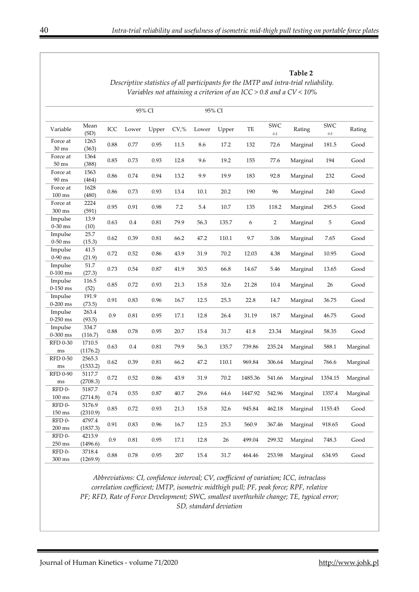**Table 2** 

|                              |                    |          | 95% CI |       |       |       | 95% CI |         |                |          |                |          |
|------------------------------|--------------------|----------|--------|-------|-------|-------|--------|---------|----------------|----------|----------------|----------|
| Variable                     | Mean<br>(SD)       | ICC      | Lower  | Upper | CV, % | Lower | Upper  | TE      | SWC<br>0.2     | Rating   | SWC<br>$0.5\,$ | Rating   |
| Force at<br>$30 \text{ ms}$  | 1263<br>(363)      | 0.88     | 0.77   | 0.95  | 11.5  | 8.6   | 17.2   | 132     | 72.6           | Marginal | 181.5          | Good     |
| Force at<br>$50\:\rm{ms}$    | 1364<br>(388)      | 0.85     | 0.73   | 0.93  | 12.8  | 9.6   | 19.2   | 155     | 77.6           | Marginal | 194            | Good     |
| Force at<br>90 ms            | 1563<br>(464)      | 0.86     | 0.74   | 0.94  | 13.2  | 9.9   | 19.9   | 183     | 92.8           | Marginal | 232            | Good     |
| Force at<br>$100 \text{ ms}$ | 1628<br>(480)      | 0.86     | 0.73   | 0.93  | 13.4  | 10.1  | 20.2   | 190     | 96             | Marginal | 240            | Good     |
| Force at<br>300 ms           | 2224<br>(591)      | 0.95     | 0.91   | 0.98  | 7.2   | 5.4   | 10.7   | 135     | 118.2          | Marginal | 295.5          | Good     |
| Impulse<br>$0-30$ ms         | 13.9<br>(10)       | 0.63     | 0.4    | 0.81  | 79.9  | 56.3  | 135.7  | 6       | $\overline{2}$ | Marginal | 5              | Good     |
| Impulse<br>$0-50$ ms         | 25.7<br>(15.3)     | 0.62     | 0.39   | 0.81  | 66.2  | 47.2  | 110.1  | 9.7     | 3.06           | Marginal | 7.65           | Good     |
| Impulse<br>$0-90$ ms         | 41.5<br>(21.9)     | 0.72     | 0.52   | 0.86  | 43.9  | 31.9  | 70.2   | 12.03   | 4.38           | Marginal | 10.95          | Good     |
| Impulse<br>$0-100$ ms        | 51.7<br>(27.3)     | 0.73     | 0.54   | 0.87  | 41.9  | 30.5  | 66.8   | 14.67   | 5.46           | Marginal | 13.65          | Good     |
| Impulse<br>$0-150$ ms        | 116.5<br>(52)      | 0.85     | 0.72   | 0.93  | 21.3  | 15.8  | 32.6   | 21.28   | 10.4           | Marginal | 26             | Good     |
| Impulse<br>$0-200$ ms        | 191.9<br>(73.5)    | 0.91     | 0.83   | 0.96  | 16.7  | 12.5  | 25.3   | 22.8    | 14.7           | Marginal | 36.75          | Good     |
| Impulse<br>$0-250$ ms        | 263.4<br>(93.5)    | 0.9      | 0.81   | 0.95  | 17.1  | 12.8  | 26.4   | 31.19   | 18.7           | Marginal | 46.75          | Good     |
| Impulse<br>$0-300$ ms        | 334.7<br>(116.7)   | $0.88\,$ | 0.78   | 0.95  | 20.7  | 15.4  | 31.7   | 41.8    | 23.34          | Marginal | 58.35          | Good     |
| <b>RFD 0-30</b><br>ms        | 1710.5<br>(1176.2) | 0.63     | 0.4    | 0.81  | 79.9  | 56.3  | 135.7  | 739.86  | 235.24         | Marginal | 588.1          | Marginal |
| <b>RFD 0-50</b><br>ms        | 2565.3<br>(1533.2) | 0.62     | 0.39   | 0.81  | 66.2  | 47.2  | 110.1  | 969.84  | 306.64         | Marginal | 766.6          | Marginal |
| <b>RFD 0-90</b><br>ms        | 5117.7<br>(2708.3) | 0.72     | 0.52   | 0.86  | 43.9  | 31.9  | 70.2   | 1485.36 | 541.66         | Marginal | 1354.15        | Marginal |
| RFD 0-<br>$100 \text{ ms}$   | 5187.7<br>(2714.8) | 0.74     | 0.55   | 0.87  | 40.7  | 29.6  | 64.6   | 1447.92 | 542.96         | Marginal | 1357.4         | Marginal |
| RFD 0-<br>150 ms             | 5176.9<br>(2310.9) | 0.85     | 0.72   | 0.93  | 21.3  | 15.8  | 32.6   | 945.84  | 462.18         | Marginal | 1155.45        | Good     |
| RFD 0-<br>$200 \text{ ms}$   | 4797.4<br>(1837.3) | 0.91     | 0.83   | 0.96  | 16.7  | 12.5  | 25.3   | 560.9   | 367.46         | Marginal | 918.65         | Good     |
| RFD <sub>0</sub> -<br>250 ms | 4213.9<br>(1496.6) | 0.9      | 0.81   | 0.95  | 17.1  | 12.8  | 26     | 499.04  | 299.32         | Marginal | 748.3          | Good     |
| RFD <sub>0</sub> -<br>300 ms | 3718.4<br>(1269.9) | 0.88     | 0.78   | 0.95  | 207   | 15.4  | 31.7   | 464.46  | 253.98         | Marginal | 634.95         | Good     |

*Descriptive statistics of all participants for the IMTP and intra-trial reliability. Variables not attaining a criterion of an ICC > 0.8 and a CV < 10%* 

*Abbreviations: CI, confidence interval; CV, coefficient of variation; ICC, intraclass correlation coefficient; IMTP, isometric midthigh pull; PF, peak force; RPF, relative PF; RFD, Rate of Force Development; SWC, smallest worthwhile change; TE, typical error; SD, standard deviation*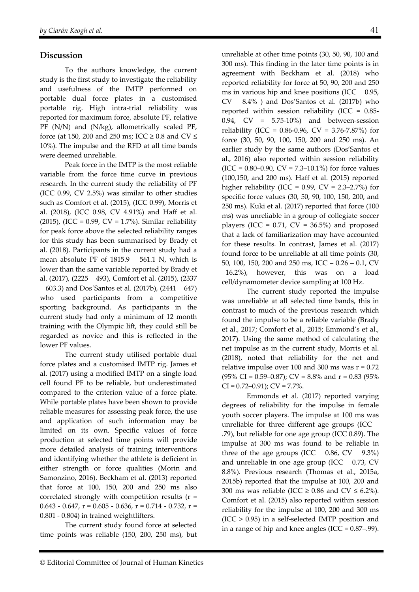# **Discussion**

To the authors knowledge, the current study is the first study to investigate the reliability and usefulness of the IMTP performed on portable dual force plates in a customised portable rig. High intra-trial reliability was reported for maximum force, absolute PF, relative PF (N/N) and (N/kg), allometrically scaled PF, force (at 150, 200 and 250 ms; ICC  $\geq$  0.8 and CV  $\leq$ 10%). The impulse and the RFD at all time bands were deemed unreliable.

Peak force in the IMTP is the most reliable variable from the force time curve in previous research. In the current study the reliability of PF (ICC 0.99, CV 2.5%) was similar to other studies such as Comfort et al. (2015), (ICC 0.99), Morris et al. (2018), (ICC 0.98, CV 4.91%) and Haff et al. (2015), (ICC = 0.99, CV = 1.7%). Similar reliability for peak force above the selected reliability ranges for this study has been summarised by Brady et al. (2018). Participants in the current study had a mean absolute PF of 1815.9 561.1 N, which is lower than the same variable reported by Brady et al. (2017), (2225 493), Comfort et al. (2015), (2337

 603.3) and Dos´Santos et al. (2017b), (2441 647) who used participants from a competitive sporting background. As participants in the current study had only a minimum of 12 month training with the Olympic lift, they could still be regarded as novice and this is reflected in the lower PF values.

The current study utilised portable dual force plates and a customised IMTP rig. James et al. (2017) using a modified IMTP on a single load cell found PF to be reliable, but underestimated compared to the criterion value of a force plate. While portable plates have been shown to provide reliable measures for assessing peak force, the use and application of such information may be limited on its own. Specific values of force production at selected time points will provide more detailed analysis of training interventions and identifying whether the athlete is deficient in either strength or force qualities (Morin and Samonzino, 2016). Beckham et al. (2013) reported that force at 100, 150, 200 and 250 ms also correlated strongly with competition results (r =  $0.643 - 0.647$ ,  $r = 0.605 - 0.636$ ,  $r = 0.714 - 0.732$ ,  $r =$ 0.801 - 0.804) in trained weightlifters.

The current study found force at selected time points was reliable (150, 200, 250 ms), but unreliable at other time points (30, 50, 90, 100 and 300 ms). This finding in the later time points is in agreement with Beckham et al. (2018) who reported reliability for force at 50, 90, 200 and 250 ms in various hip and knee positions (ICC 0.95, CV 8.4% ) and Dos'Santos et al. (2017b) who reported within session reliability (ICC = 0.85- 0.94, CV = 5.75-10%) and between-session reliability (ICC =  $0.86{\text -}0.96$ , CV =  $3.76{\text -}7.87\%$ ) for force (30, 50, 90, 100, 150, 200 and 250 ms). An earlier study by the same authors (Dos'Santos et al., 2016) also reported within session reliability  $(ICC = 0.80-0.90, CV = 7.3-10.1%)$  for force values (100,150, and 200 ms). Haff et al. (2015) reported higher reliability (ICC =  $0.99$ , CV =  $2.3-2.7%$ ) for specific force values (30, 50, 90, 100, 150, 200, and 250 ms). Kuki et al. (2017) reported that force (100 ms) was unreliable in a group of collegiate soccer players (ICC =  $0.71$ , CV =  $36.5\%$ ) and proposed that a lack of familiarization may have accounted for these results. In contrast, James et al. (2017) found force to be unreliable at all time points (30, 50, 100, 150, 200 and 250 ms, ICC – 0.26 – 0.1, CV 16.2%), however, this was on a load cell/dynamometer device sampling at 100 Hz.

The current study reported the impulse was unreliable at all selected time bands, this in contrast to much of the previous research which found the impulse to be a reliable variable (Brady et al., 2017; Comfort et al., 2015; Emmond's et al., 2017). Using the same method of calculating the net impulse as in the current study, Morris et al. (2018), noted that reliability for the net and relative impulse over 100 and 300 ms was  $r = 0.72$ (95% CI = 0.59–0.87); CV = 8.8% and  $r = 0.83$  (95%)  $CI = 0.72 - 0.91$ ;  $CV = 7.7\%$ .

Emmonds et al. (2017) reported varying degrees of reliability for the impulse in female youth soccer players. The impulse at 100 ms was unreliable for three different age groups (ICC .79), but reliable for one age group (ICC 0.89). The impulse at 300 ms was found to be reliable in three of the age groups (ICC  $0.86$ , CV  $9.3\%$ ) and unreliable in one age group (ICC 0.73, CV 8.8%). Previous research (Thomas et al., 2015a, 2015b) reported that the impulse at 100, 200 and 300 ms was reliable (ICC  $\geq$  0.86 and CV  $\leq$  6.2%). Comfort et al. (2015) also reported within session reliability for the impulse at 100, 200 and 300 ms  $(ICC > 0.95)$  in a self-selected IMTP position and in a range of hip and knee angles (ICC = 0.87–.99).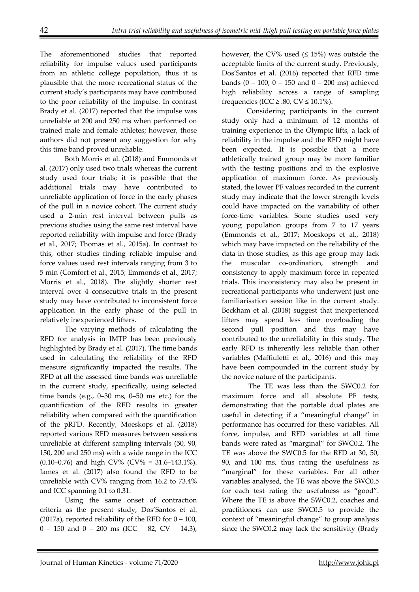The aforementioned studies that reported reliability for impulse values used participants from an athletic college population, thus it is plausible that the more recreational status of the current study's participants may have contributed to the poor reliability of the impulse. In contrast Brady et al. (2017) reported that the impulse was unreliable at 200 and 250 ms when performed on trained male and female athletes; however, those authors did not present any suggestion for why this time band proved unreliable.

Both Morris et al. (2018) and Emmonds et al. (2017) only used two trials whereas the current study used four trials; it is possible that the additional trials may have contributed to unreliable application of force in the early phases of the pull in a novice cohort. The current study used a 2-min rest interval between pulls as previous studies using the same rest interval have reported reliability with impulse and force (Brady et al., 2017; Thomas et al., 2015a). In contrast to this, other studies finding reliable impulse and force values used rest intervals ranging from 3 to 5 min (Comfort et al., 2015; Emmonds et al., 2017; Morris et al., 2018). The slightly shorter rest interval over 4 consecutive trials in the present study may have contributed to inconsistent force application in the early phase of the pull in relatively inexperienced lifters.

The varying methods of calculating the RFD for analysis in IMTP has been previously highlighted by Brady et al. (2017). The time bands used in calculating the reliability of the RFD measure significantly impacted the results. The RFD at all the assessed time bands was unreliable in the current study, specifically, using selected time bands (e.g., 0–30 ms, 0–50 ms etc.) for the quantification of the RFD results in greater reliability when compared with the quantification of the pRFD. Recently, Moeskops et al. (2018) reported various RFD measures between sessions unreliable at different sampling intervals (50, 90, 150, 200 and 250 ms) with a wide range in the ICC (0.10–0.76) and high CV% (CV% = 31.6–143.1%). James et al. (2017) also found the RFD to be unreliable with CV% ranging from 16.2 to 73.4% and ICC spanning 0.1 to 0.31.

Using the same onset of contraction criteria as the present study, Dos'Santos et al. (2017a), reported reliability of the RFD for  $0 - 100$ ,  $0 - 150$  and  $0 - 200$  ms (ICC 82, CV 14.3),

however, the CV% used  $( \leq 15\%)$  was outside the acceptable limits of the current study. Previously, Dos'Santos et al. (2016) reported that RFD time bands  $(0 - 100, 0 - 150$  and  $0 - 200$  ms) achieved high reliability across a range of sampling frequencies (ICC  $\geq$  .80, CV  $\leq$  10.1%).

Considering participants in the current study only had a minimum of 12 months of training experience in the Olympic lifts, a lack of reliability in the impulse and the RFD might have been expected. It is possible that a more athletically trained group may be more familiar with the testing positions and in the explosive application of maximum force. As previously stated, the lower PF values recorded in the current study may indicate that the lower strength levels could have impacted on the variability of other force-time variables. Some studies used very young population groups from 7 to 17 years (Emmonds et al., 2017; Moeskops et al., 2018) which may have impacted on the reliability of the data in those studies, as this age group may lack the muscular co-ordination, strength and consistency to apply maximum force in repeated trials. This inconsistency may also be present in recreational participants who underwent just one familiarisation session like in the current study. Beckham et al. (2018) suggest that inexperienced lifters may spend less time overloading the second pull position and this may have contributed to the unreliability in this study. The early RFD is inherently less reliable than other variables (Maffiuletti et al., 2016) and this may have been compounded in the current study by the novice nature of the participants.

 The TE was less than the SWC0.2 for maximum force and all absolute PF tests, demonstrating that the portable dual plates are useful in detecting if a "meaningful change" in performance has occurred for these variables. All force, impulse, and RFD variables at all time bands were rated as "marginal" for SWC0.2. The TE was above the SWC0.5 for the RFD at 30, 50, 90, and 100 ms, thus rating the usefulness as "marginal" for these variables. For all other variables analysed, the TE was above the SWC0.5 for each test rating the usefulness as "good". Where the TE is above the SWC0.2, coaches and practitioners can use SWC0.5 to provide the context of "meaningful change" to group analysis since the SWC0.2 may lack the sensitivity (Brady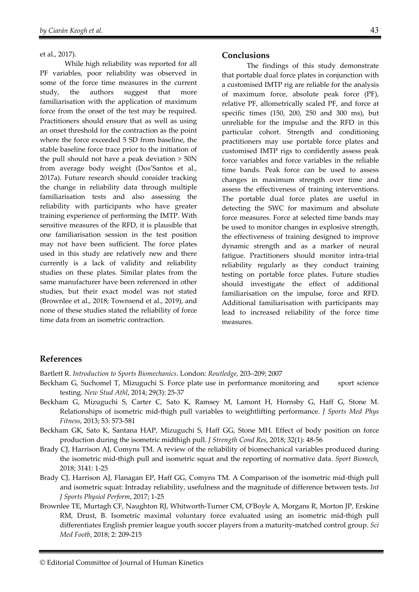#### et al., 2017).

While high reliability was reported for all PF variables, poor reliability was observed in some of the force time measures in the current study, the authors suggest that more familiarisation with the application of maximum force from the onset of the test may be required. Practitioners should ensure that as well as using an onset threshold for the contraction as the point where the force exceeded 5 SD from baseline, the stable baseline force trace prior to the initiation of the pull should not have a peak deviation > 50N from average body weight (Dos'Santos et al., 2017a). Future research should consider tracking the change in reliability data through multiple familiarisation tests and also assessing the reliability with participants who have greater training experience of performing the IMTP. With sensitive measures of the RFD, it is plausible that one familiarisation session in the test position may not have been sufficient. The force plates used in this study are relatively new and there currently is a lack of validity and reliability studies on these plates. Similar plates from the same manufacturer have been referenced in other studies, but their exact model was not stated (Brownlee et al., 2018; Townsend et al., 2019), and none of these studies stated the reliability of force time data from an isometric contraction.

#### **Conclusions**

The findings of this study demonstrate that portable dual force plates in conjunction with a customised IMTP rig are reliable for the analysis of maximum force, absolute peak force (PF), relative PF, allometrically scaled PF, and force at specific times (150, 200, 250 and 300 ms), but unreliable for the impulse and the RFD in this particular cohort. Strength and conditioning practitioners may use portable force plates and customised IMTP rigs to confidently assess peak force variables and force variables in the reliable time bands. Peak force can be used to assess changes in maximum strength over time and assess the effectiveness of training interventions. The portable dual force plates are useful in detecting the SWC for maximum and absolute force measures. Force at selected time bands may be used to monitor changes in explosive strength, the effectiveness of training designed to improve dynamic strength and as a marker of neural fatigue. Practitioners should monitor intra-trial reliability regularly as they conduct training testing on portable force plates. Future studies should investigate the effect of additional familiarisation on the impulse, force and RFD. Additional familiarisation with participants may lead to increased reliability of the force time measures.

#### **References**

Bartlett R. *Introduction to Sports Biomechanics*. London*: Routledge*, 203–209; 2007

- Beckham G, Suchomel T, Mizuguchi S. Force plate use in performance monitoring and sport science testing. *New Stud Athl*, 2014; 29(3): 25-37
- Beckham G, Mizuguchi S, Carter C, Sato K, Ramsey M, Lamont H, Hornsby G, Haff G, Stone M. Relationships of isometric mid-thigh pull variables to weightlifting performance. *J Sports Med Phys Fitness*, 2013; 53: 573-581
- Beckham GK, Sato K, Santana HAP, Mizuguchi S, Haff GG, Stone MH. Effect of body position on force production during the isometric midthigh pull. *J Strength Cond Res*, 2018; 32(1): 48-56
- Brady CJ, Harrison AJ, Comyns TM. A review of the reliability of biomechanical variables produced during the isometric mid-thigh pull and isometric squat and the reporting of normative data. *Sport Biomech*, 2018; 3141: 1-25
- Brady CJ, Harrison AJ, Flanagan EP, Haff GG, Comyns TM. A Comparison of the isometric mid-thigh pull and isometric squat: Intraday reliability, usefulness and the magnitude of difference between tests. *Int J Sports Physiol Perform*, 2017; 1-25
- Brownlee TE, Murtagh CF, Naughton RJ, Whitworth-Turner CM, O'Boyle A, Morgans R, Morton JP, Erskine RM, Drust, B. Isometric maximal voluntary force evaluated using an isometric mid-thigh pull differentiates English premier league youth soccer players from a maturity-matched control group. *Sci Med Footb*, 2018; 2: 209-215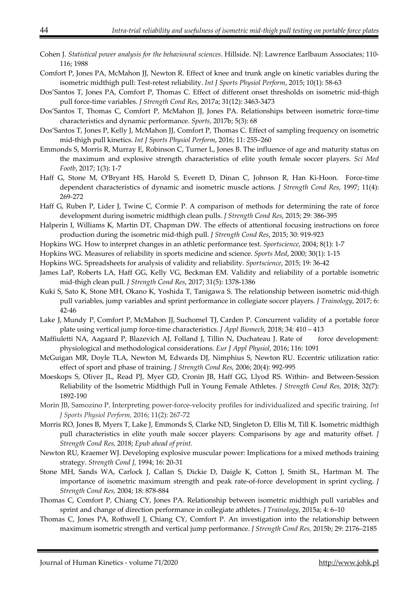- Cohen J. *Statistical power analysis for the behavioural sciences*. Hillside. NJ: Lawrence Earlbaum Associates; 110- 116; 1988
- Comfort P, Jones PA, McMahon JJ, Newton R. Effect of knee and trunk angle on kinetic variables during the isometric midthigh pull: Test-retest reliability. *Int J Sports Physiol Perform*, 2015; 10(1): 58-63
- Dos'Santos T, Jones PA, Comfort P, Thomas C. Effect of different onset thresholds on isometric mid-thigh pull force-time variables. *J Strength Cond Res*, 2017a; 31(12): 3463-3473
- Dos'Santos T, Thomas C, Comfort P, McMahon JJ, Jones PA. Relationships between isometric force-time characteristics and dynamic performance. *Sports*, 2017b; 5(3): 68
- Dos'Santos T, Jones P, Kelly J, McMahon JJ, Comfort P, Thomas C. Effect of sampling frequency on isometric mid-thigh pull kinetics. *Int J Sports Physiol Perform*, 2016; 11: 255–260
- Emmonds S, Morris R, Murray E, Robinson C, Turner L, Jones B. The influence of age and maturity status on the maximum and explosive strength characteristics of elite youth female soccer players. *Sci Med Footb*, 2017; 1(3): 1-7
- Haff G, Stone M, O'Bryant HS, Harold S, Everett D, Dinan C, Johnson R, Han Ki-Hoon. Force-time dependent characteristics of dynamic and isometric muscle actions. *J Strength Cond Res*, 1997; 11(4): 269-272
- Haff G, Ruben P, Lider J, Twine C, Cormie P. A comparison of methods for determining the rate of force development during isometric midthigh clean pulls. *J Strength Cond Res*, 2015; 29: 386-395
- Halperin I, Williams K, Martin DT, Chapman DW. The effects of attentional focusing instructions on force production during the isometric mid-thigh pull. *J Strength Cond Res*, 2015; 30: 919-923
- Hopkins WG. How to interpret changes in an athletic performance test. *Sportscience*, 2004; 8(1): 1-7
- Hopkins WG. Measures of reliability in sports medicine and science. *Sports Med*, 2000; 30(1): 1-15
- Hopkins WG. Spreadsheets for analysis of validity and reliability. *Sportscience*, 2015; 19: 36-42
- James LaP, Roberts LA, Haff GG, Kelly VG, Beckman EM. Validity and reliability of a portable isometric mid-thigh clean pull. *J Strength Cond Res*, 2017; 31(5): 1378-1386
- Kuki S, Sato K, Stone MH, Okano K, Yoshida T, Tanigawa S. The relationship between isometric mid-thigh pull variables, jump variables and sprint performance in collegiate soccer players. *J Trainology*, 2017; 6: 42-46
- Lake J, Mundy P, Comfort P, McMahon JJ, Suchomel TJ, Carden P. Concurrent validity of a portable force plate using vertical jump force-time characteristics. *J Appl Biomech,* 2018; 34: 410 – 413
- Maffiuletti NA, Aagaard P, Blazevich AJ, Folland J, Tillin N, Duchateau J. Rate of force development: physiological and methodological considerations. *Eur J Appl Physiol*, 2016; 116: 1091
- McGuigan MR, Doyle TLA, Newton M, Edwards DJ, Nimphius S, Newton RU. Eccentric utilization ratio: effect of sport and phase of training. *J Strength Cond Res*, 2006; 20(4): 992-995
- Moeskops S, Oliver JL, Read PJ, Myer GD, Cronin JB, Haff GG, Llyod RS. Within- and Between-Session Reliability of the Isometric Midthigh Pull in Young Female Athletes. *J Strength Cond Res,* 2018; 32(7): 1892-190
- Morin JB, Samozino P. Interpreting power-force-velocity profiles for individualized and specific training. *Int J Sports Physiol Perform,* 2016; 11(2): 267-72
- Morris RO, Jones B, Myers T, Lake J, Emmonds S, Clarke ND, Singleton D, Ellis M, Till K. Isometric midthigh pull characteristics in elite youth male soccer players: Comparisons by age and maturity offset. *J Strength Cond Res,* 2018; *Epub ahead of print.*
- Newton RU, Kraemer WJ. Developing explosive muscular power: Implications for a mixed methods training strategy. *Strength Cond J,* 1994; 16: 20-31
- Stone MH, Sands WA, Carlock J, Callan S, Dickie D, Daigle K, Cotton J, Smith SL, Hartman M. The importance of isometric maximum strength and peak rate-of-force development in sprint cycling. *J Strength Cond Res,* 2004; 18: 878-884
- Thomas C, Comfort P, Chiang CY, Jones PA. Relationship between isometric midthigh pull variables and sprint and change of direction performance in collegiate athletes. *J Trainology,* 2015a; 4: 6–10
- Thomas C, Jones PA, Rothwell J, Chiang CY, Comfort P. An investigation into the relationship between maximum isometric strength and vertical jump performance. *J Strength Cond Res,* 2015b; 29: 2176–2185